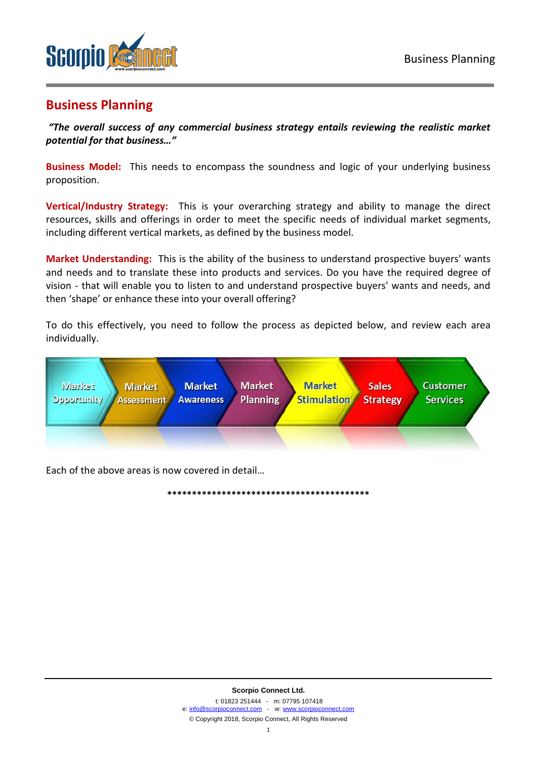

# **Business Planning**

*"The overall success of any commercial business strategy entails reviewing the realistic market potential for that business…"* 

**Business Model:** This needs to encompass the soundness and logic of your underlying business proposition.

**Vertical/Industry Strategy:** This is your overarching strategy and ability to manage the direct resources, skills and offerings in order to meet the specific needs of individual market segments, including different vertical markets, as defined by the business model.

**Market Understanding:** This is the ability of the business to understand prospective buyers' wants and needs and to translate these into products and services. Do you have the required degree of vision - that will enable you to listen to and understand prospective buyers' wants and needs, and then 'shape' or enhance these into your overall offering?

To do this effectively, you need to follow the process as depicted below, and review each area individually.



**\*\*\*\*\*\*\*\*\*\*\*\*\*\*\*\*\*\*\*\*\*\*\*\*\*\*\*\*\*\*\*\*\*\*\*\*\*\*\*\*\***

Each of the above areas is now covered in detail…

**Scorpio Connect Ltd.** t: 01823 251444 - m: 07795 107418 e[: info@scorpioconnect.com](mailto:info@scorpioconnect.com) - w[: www.scorpioconnect.com](http://www.scorpioconnect.com/) © Copyright 2018, Scorpio Connect, All Rights Reserved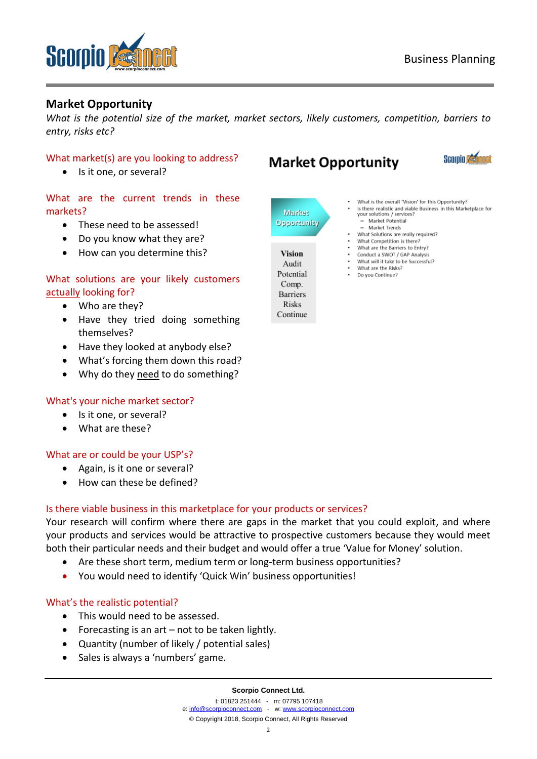

# **Market Opportunity**

*What is the potential size of the market, market sectors, likely customers, competition, barriers to entry, risks etc?*

# What market(s) are you looking to address?

Is it one, or several?

# What are the current trends in these markets?

- These need to be assessed!
- Do you know what they are?
- How can you determine this?

# What solutions are your likely customers actually looking for?

- Who are they?
- Have they tried doing something themselves?
- Have they looked at anybody else?
- What's forcing them down this road?
- Why do they need to do something?

## What's your niche market sector?

- Is it one, or several?
- What are these?

## What are or could be your USP's?

- Again, is it one or several?
- How can these be defined?

# Is there viable business in this marketplace for your products or services?

Your research will confirm where there are gaps in the market that you could exploit, and where your products and services would be attractive to prospective customers because they would meet both their particular needs and their budget and would offer a true 'Value for Money' solution.

- Are these short term, medium term or long-term business opportunities?
- You would need to identify 'Quick Win' business opportunities!

## What's the realistic potential?

- This would need to be assessed.
- Forecasting is an art  $-$  not to be taken lightly.
- Quantity (number of likely / potential sales)
- Sales is always a 'numbers' game.

#### **Scorpio Connect Ltd.**

t: 01823 251444 - m: 07795 107418 e[: info@scorpioconnect.com](mailto:info@scorpioconnect.com) - w[: www.scorpioconnect.com](http://www.scorpioconnect.com/) © Copyright 2018, Scorpio Connect, All Rights Reserved

# **Market Opportunity**



- Market **Opportunity** 
	- **Vision** Audit Potential Comp. **Barriers Risks**

Continue

- What is the overall 'Vision' for this Opportunity?
- Is there realistic and viable Business in this Marketplace for<br>your solutions / services? - Market Potential
- Market Trends
- What Solutions are really required? What Competition is there?
- What are the Barriers to Entry?
- Conduct a SWOT / GAP Analysis What will it take to be Successful?
- What are the Risks?
- Do you Continue?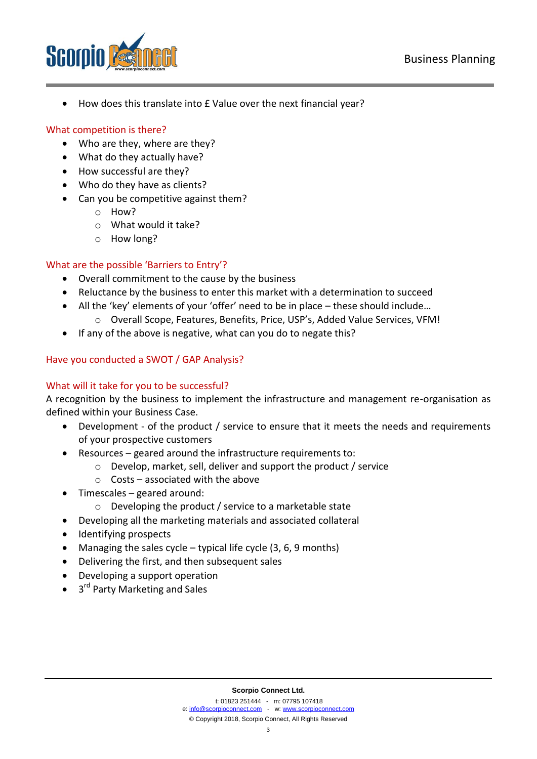

How does this translate into £ Value over the next financial year?

# What competition is there?

- Who are they, where are they?
- What do they actually have?
- How successful are they?
- Who do they have as clients?
- Can you be competitive against them?
	- o How?
	- o What would it take?
	- o How long?

# What are the possible 'Barriers to Entry'?

- Overall commitment to the cause by the business
- Reluctance by the business to enter this market with a determination to succeed
- All the 'key' elements of your 'offer' need to be in place these should include…
	- o Overall Scope, Features, Benefits, Price, USP's, Added Value Services, VFM!
- If any of the above is negative, what can you do to negate this?

# Have you conducted a SWOT / GAP Analysis?

# What will it take for you to be successful?

A recognition by the business to implement the infrastructure and management re-organisation as defined within your Business Case.

- Development of the product / service to ensure that it meets the needs and requirements of your prospective customers
- Resources geared around the infrastructure requirements to:
	- o Develop, market, sell, deliver and support the product / service
	- $\circ$  Costs associated with the above
- Timescales geared around:
	- o Developing the product / service to a marketable state
- Developing all the marketing materials and associated collateral
- Identifying prospects
- Managing the sales cycle typical life cycle  $(3, 6, 9 \text{ months})$
- Delivering the first, and then subsequent sales
- Developing a support operation
- 3<sup>rd</sup> Party Marketing and Sales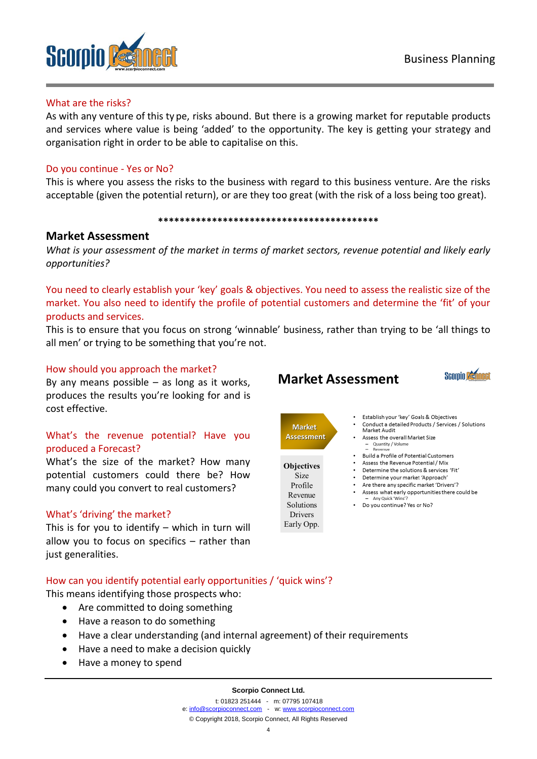

#### What are the risks?

As with any venture of this ty pe, risks abound. But there is a growing market for reputable products and services where value is being 'added' to the opportunity. The key is getting your strategy and organisation right in order to be able to capitalise on this.

# Do you continue - Yes or No?

This is where you assess the risks to the business with regard to this business venture. Are the risks acceptable (given the potential return), or are they too great (with the risk of a loss being too great).

#### **\*\*\*\*\*\*\*\*\*\*\*\*\*\*\*\*\*\*\*\*\*\*\*\*\*\*\*\*\*\*\*\*\*\*\*\*\*\*\*\*\***

# **Market Assessment**

*What is your assessment of the market in terms of market sectors, revenue potential and likely early opportunities?*

You need to clearly establish your 'key' goals & objectives. You need to assess the realistic size of the market. You also need to identify the profile of potential customers and determine the 'fit' of your products and services.

This is to ensure that you focus on strong 'winnable' business, rather than trying to be 'all things to all men' or trying to be something that you're not.

## How should you approach the market?

By any means possible  $-$  as long as it works, produces the results you're looking for and is cost effective.

# What's the revenue potential? Have you produced a Forecast?

What's the size of the market? How many potential customers could there be? How many could you convert to real customers?

## What's 'driving' the market?

This is for you to identify – which in turn will allow you to focus on specifics – rather than just generalities.

# **Market Assessment**



**Objectives** Size Profile Revenue **Solutions Drivers** Early Opp.



- Establish your 'key' Goals & Objectives Conduct a detailed Products / Services / Solutions Market Audit Assess the overall Market Size - Quantity / Volume<br>- Revenue Build a Profile of Potential Customers
	- . Assess the Revenue Potential / Mix
	- Determine the solutions & services 'Fit'
	- · Determine your market 'Approach' • Are there any specific market 'Drivers'?
	- . Assess what early opportunities there could be
	- Any Quick 'Win • Do you continue? Yes or No?

# How can you identify potential early opportunities / 'quick wins'?

This means identifying those prospects who:

- Are committed to doing something
- Have a reason to do something
- Have a clear understanding (and internal agreement) of their requirements
- Have a need to make a decision quickly
- Have a money to spend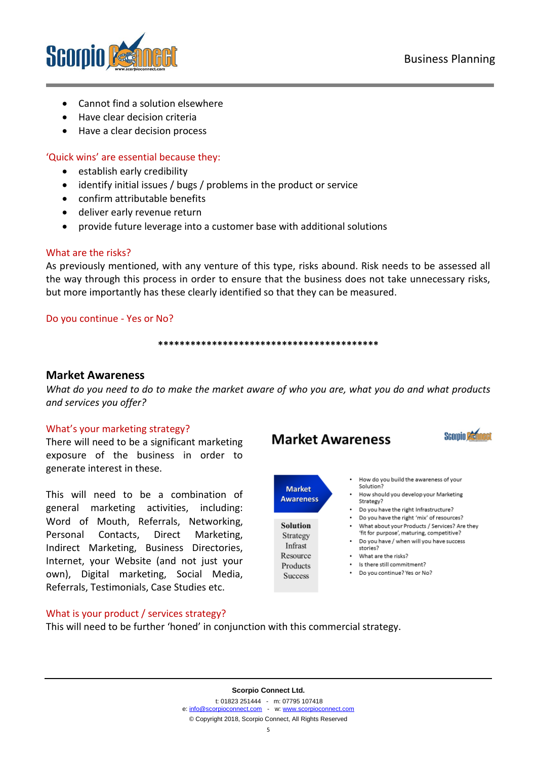

- Cannot find a solution elsewhere
- Have clear decision criteria
- Have a clear decision process

# 'Quick wins' are essential because they:

- **•** establish early credibility
- identify initial issues / bugs / problems in the product or service
- confirm attributable benefits
- deliver early revenue return
- provide future leverage into a customer base with additional solutions

## What are the risks?

As previously mentioned, with any venture of this type, risks abound. Risk needs to be assessed all the way through this process in order to ensure that the business does not take unnecessary risks, but more importantly has these clearly identified so that they can be measured.

## Do you continue - Yes or No?

#### **\*\*\*\*\*\*\*\*\*\*\*\*\*\*\*\*\*\*\*\*\*\*\*\*\*\*\*\*\*\*\*\*\*\*\*\*\*\*\*\*\***

# **Market Awareness**

*What do you need to do to make the market aware of who you are, what you do and what products and services you offer?* 

## What's your marketing strategy?

There will need to be a significant marketing exposure of the business in order to generate interest in these.

This will need to be a combination of general marketing activities, including: Word of Mouth, Referrals, Networking, Personal Contacts, Direct Marketing, Indirect Marketing, Business Directories, Internet, your Website (and not just your own), Digital marketing, Social Media, Referrals, Testimonials, Case Studies etc.

## What is your product / services strategy?

This will need to be further 'honed' in conjunction with this commercial strategy.





**Market Awareness** 

- Solution Strategy Infrast Resource Products **Success**
- How do you build the awareness of your Solution?
- How should you develop your Marketing Strategy?
- Do you have the right Infrastructure?
- Do you have the right 'mix' of resources? What about your Products / Services? Are they 'fit for purpose', maturing, competitive?
- Do you have / when will you have success stories?
- What are the risks?
- Is there still commitment?
- Do you continue? Yes or No?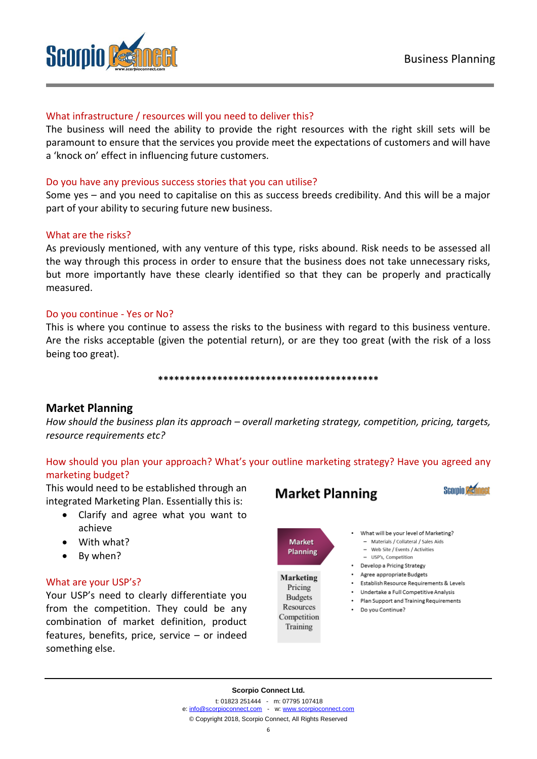

# What infrastructure / resources will you need to deliver this?

The business will need the ability to provide the right resources with the right skill sets will be paramount to ensure that the services you provide meet the expectations of customers and will have a 'knock on' effect in influencing future customers.

## Do you have any previous success stories that you can utilise?

Some yes – and you need to capitalise on this as success breeds credibility. And this will be a major part of your ability to securing future new business.

#### What are the risks?

As previously mentioned, with any venture of this type, risks abound. Risk needs to be assessed all the way through this process in order to ensure that the business does not take unnecessary risks, but more importantly have these clearly identified so that they can be properly and practically measured.

#### Do you continue - Yes or No?

This is where you continue to assess the risks to the business with regard to this business venture. Are the risks acceptable (given the potential return), or are they too great (with the risk of a loss being too great).

#### **\*\*\*\*\*\*\*\*\*\*\*\*\*\*\*\*\*\*\*\*\*\*\*\*\*\*\*\*\*\*\*\*\*\*\*\*\*\*\*\*\***

# **Market Planning**

*How should the business plan its approach – overall marketing strategy, competition, pricing, targets, resource requirements etc?*

# How should you plan your approach? What's your outline marketing strategy? Have you agreed any marketing budget?

This would need to be established through an integrated Marketing Plan. Essentially this is:

- Clarify and agree what you want to achieve
- With what?
- By when?

#### What are your USP's?

Your USP's need to clearly differentiate you from the competition. They could be any combination of market definition, product features, benefits, price, service – or indeed something else.

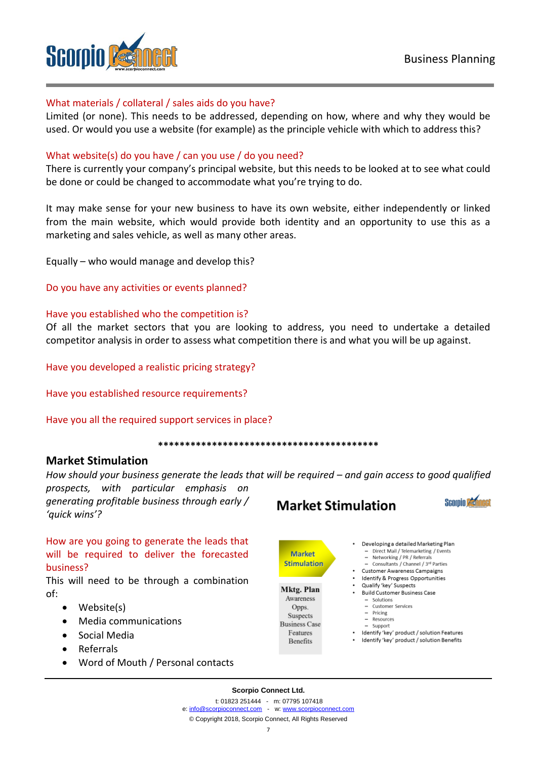



# What materials / collateral / sales aids do you have?

Limited (or none). This needs to be addressed, depending on how, where and why they would be used. Or would you use a website (for example) as the principle vehicle with which to address this?

# What website(s) do you have / can you use / do you need?

There is currently your company's principal website, but this needs to be looked at to see what could be done or could be changed to accommodate what you're trying to do.

It may make sense for your new business to have its own website, either independently or linked from the main website, which would provide both identity and an opportunity to use this as a marketing and sales vehicle, as well as many other areas.

Equally – who would manage and develop this?

Do you have any activities or events planned?

#### Have you established who the competition is?

Of all the market sectors that you are looking to address, you need to undertake a detailed competitor analysis in order to assess what competition there is and what you will be up against.

Have you developed a realistic pricing strategy?

Have you established resource requirements?

Have you all the required support services in place?

**\*\*\*\*\*\*\*\*\*\*\*\*\*\*\*\*\*\*\*\*\*\*\*\*\*\*\*\*\*\*\*\*\*\*\*\*\*\*\*\*\***

# **Market Stimulation**

*How should your business generate the leads that will be required – and gain access to good qualified* 

*prospects, with particular emphasis on generating profitable business through early / 'quick wins'?*

How are you going to generate the leads that will be required to deliver the forecasted business?

This will need to be through a combination of:

- Website(s)
- Media communications
- Social Media
- Referrals
- Word of Mouth / Personal contacts



**Market Stimulation** 

# **Stimulation** Mktg. Plan

Awareness Opps. Suspects **Business Case**  $\operatorname{Features}$ **Benefits** 



- Developing a detailed Marketing Plan - Direct Mail / Telemarketing / Events
	- Networking / PR / Referrals
- Consultants / Channel / 3rd Parties • Customer Awareness Campaigns
- · Identify & Progress Opportunities
- · Qualify 'key' Suspects
- Build Customer Business Case Solutions
	- Customer Services
	- $-$  Pricing
	- $-$  Resources
	- $-$  Support Identify 'key' product / solution Features
- · Identify 'key' product / solution Benefits

**Scorpio Connect Ltd.**

t: 01823 251444 - m: 07795 107418 e[: info@scorpioconnect.com](mailto:info@scorpioconnect.com) - w[: www.scorpioconnect.com](http://www.scorpioconnect.com/)